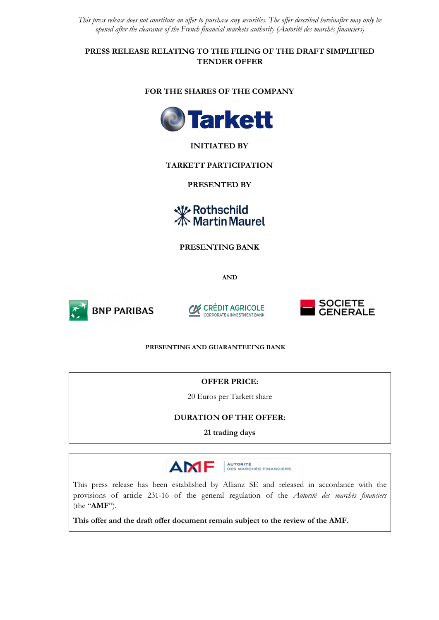*This press release does not constitute an offer to purchase any securities. The offer described hereinafter may only be opened after the clearance of the French financial markets authority (Autorité des marchés financiers)* 

**PRESS RELEASE RELATING TO THE FILING OF THE DRAFT SIMPLIFIED TENDER OFFER** 

## **FOR THE SHARES OF THE COMPANY**



# **INITIATED BY**

## **TARKETT PARTICIPATION**

**PRESENTED BY** 

**₩ Rothschild**<br><del>©</del> Martin Maurel

**PRESENTING BANK** 

**AND**



**BNP PARIBAS** 





#### **PRESENTING AND GUARANTEEING BANK**

#### **OFFER PRICE:**

20 Euros per Tarkett share

#### **DURATION OF THE OFFER:**

**21 trading days**



This press release has been established by Allianz SE and released in accordance with the provisions of article 231-16 of the general regulation of the *Autorité des marchés financiers* (the "**AMF**").

**This offer and the draft offer document remain subject to the review of the AMF.**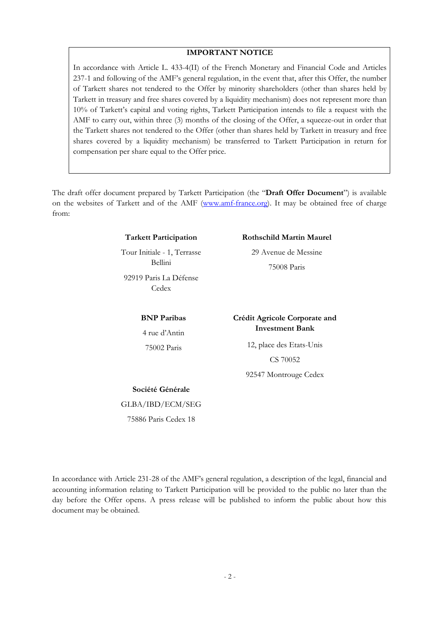# **IMPORTANT NOTICE**

In accordance with Article L. 433-4(II) of the French Monetary and Financial Code and Articles 237-1 and following of the AMF's general regulation, in the event that, after this Offer, the number of Tarkett shares not tendered to the Offer by minority shareholders (other than shares held by Tarkett in treasury and free shares covered by a liquidity mechanism) does not represent more than 10% of Tarkett's capital and voting rights, Tarkett Participation intends to file a request with the AMF to carry out, within three (3) months of the closing of the Offer, a squeeze-out in order that the Tarkett shares not tendered to the Offer (other than shares held by Tarkett in treasury and free shares covered by a liquidity mechanism) be transferred to Tarkett Participation in return for compensation per share equal to the Offer price.

The draft offer document prepared by Tarkett Participation (the "**Draft Offer Document**") is available on the websites of Tarkett and of the AMF (www.amf-france.org). It may be obtained free of charge from:

#### **Tarkett Participation**

Tour Initiale - 1, Terrasse Bellini 92919 Paris La Défense Cedex

> **BNP Paribas**  4 rue d'Antin 75002 Paris

#### **Rothschild Martin Maurel**

29 Avenue de Messine 75008 Paris

## **Crédit Agricole Corporate and Investment Bank**

12, place des Etats-Unis CS 70052

92547 Montrouge Cedex

# **Société Générale**

GLBA/IBD/ECM/SEG

75886 Paris Cedex 18

In accordance with Article 231-28 of the AMF's general regulation, a description of the legal, financial and accounting information relating to Tarkett Participation will be provided to the public no later than the day before the Offer opens. A press release will be published to inform the public about how this document may be obtained.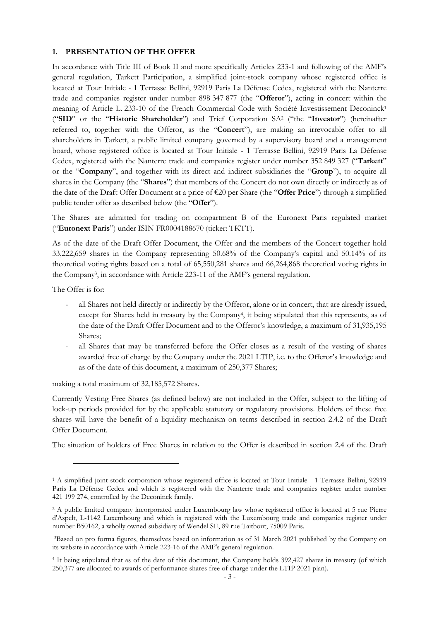#### **1. PRESENTATION OF THE OFFER**

In accordance with Title III of Book II and more specifically Articles 233-1 and following of the AMF's general regulation, Tarkett Participation, a simplified joint-stock company whose registered office is located at Tour Initiale - 1 Terrasse Bellini, 92919 Paris La Défense Cedex, registered with the Nanterre trade and companies register under number 898 347 877 (the "**Offeror**"), acting in concert within the meaning of Article L. 233-10 of the French Commercial Code with Société Investissement Deconinck<sup>1</sup> ("**SID**" or the "**Historic Shareholder**") and Trief Corporation SA<sup>2</sup> ("the "**Investor**") (hereinafter referred to, together with the Offeror, as the "**Concert**"), are making an irrevocable offer to all shareholders in Tarkett, a public limited company governed by a supervisory board and a management board, whose registered office is located at Tour Initiale - 1 Terrasse Bellini, 92919 Paris La Défense Cedex, registered with the Nanterre trade and companies register under number 352 849 327 ("**Tarkett**" or the "**Company**", and together with its direct and indirect subsidiaries the "**Group**"), to acquire all shares in the Company (the "**Shares**") that members of the Concert do not own directly or indirectly as of the date of the Draft Offer Document at a price of €20 per Share (the "**Offer Price**") through a simplified public tender offer as described below (the "**Offer**").

The Shares are admitted for trading on compartment B of the Euronext Paris regulated market ("**Euronext Paris**") under ISIN FR0004188670 (ticker: TKTT).

As of the date of the Draft Offer Document, the Offer and the members of the Concert together hold 33,222,659 shares in the Company representing 50.68% of the Company's capital and 50.14% of its theoretical voting rights based on a total of 65,550,281 shares and 66,264,868 theoretical voting rights in the Company<sup>3</sup> , in accordance with Article 223-11 of the AMF's general regulation.

The Offer is for:

- all Shares not held directly or indirectly by the Offeror, alone or in concert, that are already issued, except for Shares held in treasury by the Company<sup>4</sup>, it being stipulated that this represents, as of the date of the Draft Offer Document and to the Offeror's knowledge, a maximum of 31,935,195 Shares;
- all Shares that may be transferred before the Offer closes as a result of the vesting of shares awarded free of charge by the Company under the 2021 LTIP, i.e. to the Offeror's knowledge and as of the date of this document, a maximum of 250,377 Shares;

making a total maximum of 32,185,572 Shares.

Currently Vesting Free Shares (as defined below) are not included in the Offer, subject to the lifting of lock-up periods provided for by the applicable statutory or regulatory provisions. Holders of these free shares will have the benefit of a liquidity mechanism on terms described in section 2.4.2 of the Draft Offer Document.

The situation of holders of Free Shares in relation to the Offer is described in section 2.4 of the Draft

<sup>1</sup> A simplified joint-stock corporation whose registered office is located at Tour Initiale - 1 Terrasse Bellini, 92919 Paris La Défense Cedex and which is registered with the Nanterre trade and companies register under number 421 199 274, controlled by the Deconinck family.

<sup>&</sup>lt;sup>2</sup> A public limited company incorporated under Luxembourg law whose registered office is located at 5 rue Pierre d'Aspelt, L-1142 Luxembourg and which is registered with the Luxembourg trade and companies register under number B50162, a wholly owned subsidiary of Wendel SE, 89 rue Taitbout, 75009 Paris.

<sup>3</sup>Based on pro forma figures, themselves based on information as of 31 March 2021 published by the Company on its website in accordance with Article 223-16 of the AMF's general regulation.

<sup>4</sup> It being stipulated that as of the date of this document, the Company holds 392,427 shares in treasury (of which 250,377 are allocated to awards of performance shares free of charge under the LTIP 2021 plan).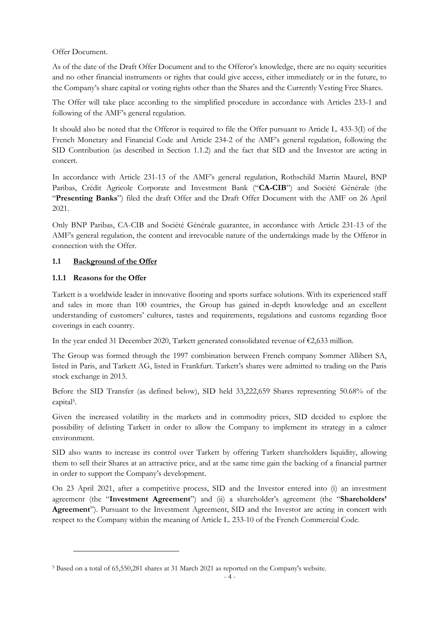Offer Document.

As of the date of the Draft Offer Document and to the Offeror's knowledge, there are no equity securities and no other financial instruments or rights that could give access, either immediately or in the future, to the Company's share capital or voting rights other than the Shares and the Currently Vesting Free Shares.

The Offer will take place according to the simplified procedure in accordance with Articles 233-1 and following of the AMF's general regulation.

It should also be noted that the Offeror is required to file the Offer pursuant to Article L. 433-3(I) of the French Monetary and Financial Code and Article 234-2 of the AMF's general regulation, following the SID Contribution (as described in Section 1.1.2) and the fact that SID and the Investor are acting in concert.

In accordance with Article 231-13 of the AMF's general regulation, Rothschild Martin Maurel, BNP Paribas, Crédit Agricole Corporate and Investment Bank ("**CA-CIB**") and Société Générale (the "**Presenting Banks**") filed the draft Offer and the Draft Offer Document with the AMF on 26 April 2021.

Only BNP Paribas, CA-CIB and Société Générale guarantee, in accordance with Article 231-13 of the AMF's general regulation, the content and irrevocable nature of the undertakings made by the Offeror in connection with the Offer.

# **1.1 Background of the Offer**

## **1.1.1 Reasons for the Offer**

Tarkett is a worldwide leader in innovative flooring and sports surface solutions. With its experienced staff and sales in more than 100 countries, the Group has gained in-depth knowledge and an excellent understanding of customers' cultures, tastes and requirements, regulations and customs regarding floor coverings in each country.

In the year ended 31 December 2020, Tarkett generated consolidated revenue of €2,633 million.

The Group was formed through the 1997 combination between French company Sommer Allibert SA, listed in Paris, and Tarkett AG, listed in Frankfurt. Tarkett's shares were admitted to trading on the Paris stock exchange in 2013.

Before the SID Transfer (as defined below), SID held 33,222,659 Shares representing 50.68% of the capital<sup>5</sup> .

Given the increased volatility in the markets and in commodity prices, SID decided to explore the possibility of delisting Tarkett in order to allow the Company to implement its strategy in a calmer environment.

SID also wants to increase its control over Tarkett by offering Tarkett shareholders liquidity, allowing them to sell their Shares at an attractive price, and at the same time gain the backing of a financial partner in order to support the Company's development.

On 23 April 2021, after a competitive process, SID and the Investor entered into (i) an investment agreement (the "**Investment Agreement**") and (ii) a shareholder's agreement (the "**Shareholders' Agreement**"). Pursuant to the Investment Agreement, SID and the Investor are acting in concert with respect to the Company within the meaning of Article L. 233-10 of the French Commercial Code.

<sup>5</sup> Based on a total of 65,550,281 shares at 31 March 2021 as reported on the Company's website.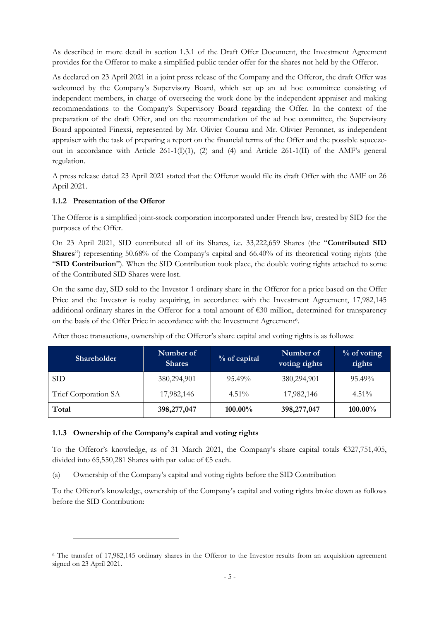As described in more detail in section 1.3.1 of the Draft Offer Document, the Investment Agreement provides for the Offeror to make a simplified public tender offer for the shares not held by the Offeror.

As declared on 23 April 2021 in a joint press release of the Company and the Offeror, the draft Offer was welcomed by the Company's Supervisory Board, which set up an ad hoc committee consisting of independent members, in charge of overseeing the work done by the independent appraiser and making recommendations to the Company's Supervisory Board regarding the Offer. In the context of the preparation of the draft Offer, and on the recommendation of the ad hoc committee, the Supervisory Board appointed Finexsi, represented by Mr. Olivier Courau and Mr. Olivier Peronnet, as independent appraiser with the task of preparing a report on the financial terms of the Offer and the possible squeezeout in accordance with Article 261-1(I)(1), (2) and (4) and Article 261-1(II) of the AMF's general regulation.

A press release dated 23 April 2021 stated that the Offeror would file its draft Offer with the AMF on 26 April 2021.

## **1.1.2 Presentation of the Offeror**

The Offeror is a simplified joint-stock corporation incorporated under French law, created by SID for the purposes of the Offer.

On 23 April 2021, SID contributed all of its Shares, i.e. 33,222,659 Shares (the "**Contributed SID Shares**") representing 50.68% of the Company's capital and 66.40% of its theoretical voting rights (the "**SID Contribution**"). When the SID Contribution took place, the double voting rights attached to some of the Contributed SID Shares were lost.

On the same day, SID sold to the Investor 1 ordinary share in the Offeror for a price based on the Offer Price and the Investor is today acquiring, in accordance with the Investment Agreement, 17,982,145 additional ordinary shares in the Offeror for a total amount of €30 million, determined for transparency on the basis of the Offer Price in accordance with the Investment Agreement<sup>6</sup>.

| Shareholder <sup>1</sup> | Number of<br><b>Shares</b> | % of capital | Number of<br>voting rights | $\%$ of voting<br>rights |
|--------------------------|----------------------------|--------------|----------------------------|--------------------------|
| <b>SID</b>               | 380,294,901                | $95.49\%$    | 380,294,901                | $95.49\%$                |
| Trief Corporation SA     | 17,982,146                 | $4.51\%$     | 17,982,146                 | $4.51\%$                 |
| Total                    | 398,277,047                | $100.00\%$   | 398,277,047                | $100.00\%$               |

After those transactions, ownership of the Offeror's share capital and voting rights is as follows:

#### **1.1.3 Ownership of the Company's capital and voting rights**

To the Offeror's knowledge, as of 31 March 2021, the Company's share capital totals €327,751,405, divided into 65,550,281 Shares with par value of €5 each.

(a) Ownership of the Company's capital and voting rights before the SID Contribution

To the Offeror's knowledge, ownership of the Company's capital and voting rights broke down as follows before the SID Contribution:

<sup>6</sup> The transfer of 17,982,145 ordinary shares in the Offeror to the Investor results from an acquisition agreement signed on 23 April 2021.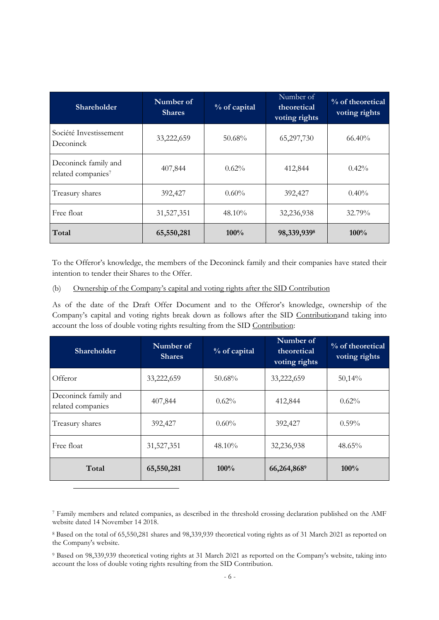| Shareholder                                | Number of<br><b>Shares</b> | % of capital | Number of<br>theoretical<br>voting rights | % of theoretical<br>voting rights |
|--------------------------------------------|----------------------------|--------------|-------------------------------------------|-----------------------------------|
| Société Investissement<br>Deconinck        | 33,222,659                 | $50.68\%$    | 65,297,730                                | $66.40\%$                         |
| Deconinck family and<br>related companies7 | 407,844                    | $0.62\%$     | 412,844                                   | $0.42\%$                          |
| Treasury shares                            | 392,427                    | $0.60\%$     | 392,427                                   | $0.40\%$                          |
| Free float                                 | 31,527,351                 | $48.10\%$    | 32,236,938                                | 32.79%                            |
| Total                                      | 65,550,281                 | 100%         | 98,339,9398                               | 100%                              |

To the Offeror's knowledge, the members of the Deconinck family and their companies have stated their intention to tender their Shares to the Offer.

(b) Ownership of the Company's capital and voting rights after the SID Contribution

As of the date of the Draft Offer Document and to the Offeror's knowledge, ownership of the Company's capital and voting rights break down as follows after the SID Contributionand taking into account the loss of double voting rights resulting from the SID Contribution:

| <b>Shareholder</b>                        | Number of<br><b>Shares</b> | % of capital | Number of<br>theoretical<br>voting rights | % of theoretical<br>voting rights |
|-------------------------------------------|----------------------------|--------------|-------------------------------------------|-----------------------------------|
| Offeror                                   | 33,222,659                 | $50.68\%$    | 33,222,659                                | 50,14%                            |
| Deconinck family and<br>related companies | 407,844                    | $0.62\%$     | 412,844                                   | 0.62%                             |
| Treasury shares                           | 392,427                    | $0.60\%$     | 392,427                                   | $0.59\%$                          |
| Free float                                | 31,527,351                 | $48.10\%$    | 32,236,938                                | 48.65%                            |
| Total                                     | 65,550,281                 | $100\%$      | 66,264,8689                               | 100%                              |

<sup>7</sup> Family members and related companies, as described in the threshold crossing declaration published on the AMF website dated 14 November 14 2018.

<sup>8</sup> Based on the total of 65,550,281 shares and 98,339,939 theoretical voting rights as of 31 March 2021 as reported on the Company's website.

<sup>9</sup> Based on 98,339,939 theoretical voting rights at 31 March 2021 as reported on the Company's website, taking into account the loss of double voting rights resulting from the SID Contribution.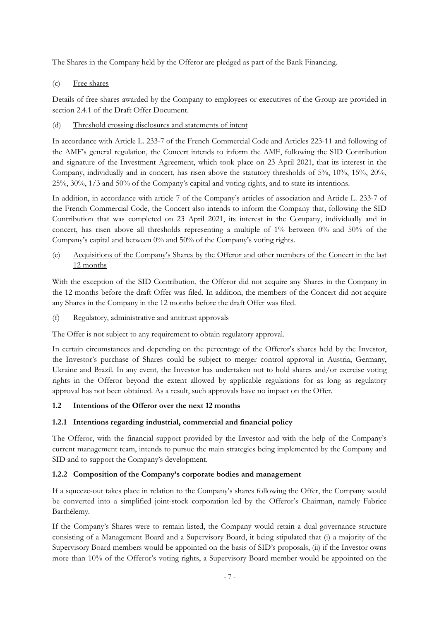The Shares in the Company held by the Offeror are pledged as part of the Bank Financing.

(c) Free shares

Details of free shares awarded by the Company to employees or executives of the Group are provided in section 2.4.1 of the Draft Offer Document.

(d) Threshold crossing disclosures and statements of intent

In accordance with Article L. 233-7 of the French Commercial Code and Articles 223-11 and following of the AMF's general regulation, the Concert intends to inform the AMF, following the SID Contribution and signature of the Investment Agreement, which took place on 23 April 2021, that its interest in the Company, individually and in concert, has risen above the statutory thresholds of 5%, 10%, 15%, 20%, 25%, 30%, 1/3 and 50% of the Company's capital and voting rights, and to state its intentions.

In addition, in accordance with article 7 of the Company's articles of association and Article L. 233-7 of the French Commercial Code, the Concert also intends to inform the Company that, following the SID Contribution that was completed on 23 April 2021, its interest in the Company, individually and in concert, has risen above all thresholds representing a multiple of 1% between 0% and 50% of the Company's capital and between 0% and 50% of the Company's voting rights.

(e) Acquisitions of the Company's Shares by the Offeror and other members of the Concert in the last 12 months

With the exception of the SID Contribution, the Offeror did not acquire any Shares in the Company in the 12 months before the draft Offer was filed. In addition, the members of the Concert did not acquire any Shares in the Company in the 12 months before the draft Offer was filed.

(f) Regulatory, administrative and antitrust approvals

The Offer is not subject to any requirement to obtain regulatory approval.

In certain circumstances and depending on the percentage of the Offeror's shares held by the Investor, the Investor's purchase of Shares could be subject to merger control approval in Austria, Germany, Ukraine and Brazil*.* In any event, the Investor has undertaken not to hold shares and/or exercise voting rights in the Offeror beyond the extent allowed by applicable regulations for as long as regulatory approval has not been obtained. As a result, such approvals have no impact on the Offer.

# **1.2 Intentions of the Offeror over the next 12 months**

# **1.2.1 Intentions regarding industrial, commercial and financial policy**

The Offeror, with the financial support provided by the Investor and with the help of the Company's current management team, intends to pursue the main strategies being implemented by the Company and SID and to support the Company's development.

# **1.2.2 Composition of the Company's corporate bodies and management**

If a squeeze-out takes place in relation to the Company's shares following the Offer, the Company would be converted into a simplified joint-stock corporation led by the Offeror's Chairman, namely Fabrice Barthélemy.

If the Company's Shares were to remain listed, the Company would retain a dual governance structure consisting of a Management Board and a Supervisory Board, it being stipulated that (i) a majority of the Supervisory Board members would be appointed on the basis of SID's proposals, (ii) if the Investor owns more than 10% of the Offeror's voting rights, a Supervisory Board member would be appointed on the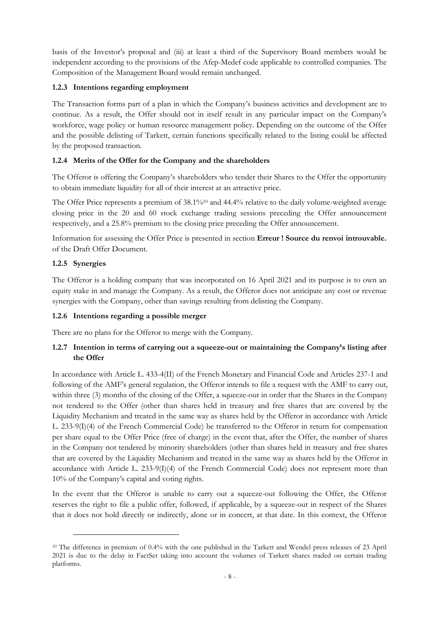basis of the Investor's proposal and (iii) at least a third of the Supervisory Board members would be independent according to the provisions of the Afep-Medef code applicable to controlled companies. The Composition of the Management Board would remain unchanged.

## **1.2.3 Intentions regarding employment**

The Transaction forms part of a plan in which the Company's business activities and development are to continue. As a result, the Offer should not in itself result in any particular impact on the Company's workforce, wage policy or human resource management policy. Depending on the outcome of the Offer and the possible delisting of Tarkett, certain functions specifically related to the listing could be affected by the proposed transaction.

# **1.2.4 Merits of the Offer for the Company and the shareholders**

The Offeror is offering the Company's shareholders who tender their Shares to the Offer the opportunity to obtain immediate liquidity for all of their interest at an attractive price.

The Offer Price represents a premium of 38.1%<sup>10</sup> and 44.4% relative to the daily volume-weighted average closing price in the 20 and 60 stock exchange trading sessions preceding the Offer announcement respectively, and a 25.8% premium to the closing price preceding the Offer announcement.

Information for assessing the Offer Price is presented in section **Erreur ! Source du renvoi introuvable.** of the Draft Offer Document.

## **1.2.5 Synergies**

The Offeror is a holding company that was incorporated on 16 April 2021 and its purpose is to own an equity stake in and manage the Company. As a result, the Offeror does not anticipate any cost or revenue synergies with the Company, other than savings resulting from delisting the Company.

#### **1.2.6 Intentions regarding a possible merger**

There are no plans for the Offeror to merge with the Company.

# **1.2.7 Intention in terms of carrying out a squeeze-out or maintaining the Company's listing after the Offer**

In accordance with Article L. 433-4(II) of the French Monetary and Financial Code and Articles 237-1 and following of the AMF's general regulation, the Offeror intends to file a request with the AMF to carry out, within three (3) months of the closing of the Offer, a squeeze-out in order that the Shares in the Company not tendered to the Offer (other than shares held in treasury and free shares that are covered by the Liquidity Mechanism and treated in the same way as shares held by the Offeror in accordance with Article L. 233-9(I)(4) of the French Commercial Code) be transferred to the Offeror in return for compensation per share equal to the Offer Price (free of charge) in the event that, after the Offer, the number of shares in the Company not tendered by minority shareholders (other than shares held in treasury and free shares that are covered by the Liquidity Mechanism and treated in the same way as shares held by the Offeror in accordance with Article L. 233-9(I)(4) of the French Commercial Code) does not represent more than 10% of the Company's capital and voting rights.

In the event that the Offeror is unable to carry out a squeeze-out following the Offer, the Offeror reserves the right to file a public offer, followed, if applicable, by a squeeze-out in respect of the Shares that it does not hold directly or indirectly, alone or in concert, at that date. In this context, the Offeror

<sup>&</sup>lt;sup>10</sup> The difference in premium of 0.4% with the one published in the Tarkett and Wendel press releases of 23 April 2021 is due to the delay in FactSet taking into account the volumes of Tarkett shares traded on certain trading platforms.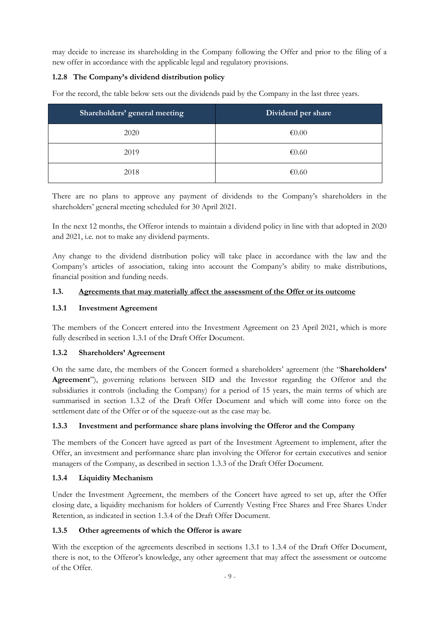may decide to increase its shareholding in the Company following the Offer and prior to the filing of a new offer in accordance with the applicable legal and regulatory provisions.

# **1.2.8 The Company's dividend distribution policy**

For the record, the table below sets out the dividends paid by the Company in the last three years.

| Shareholders' general meeting | Dividend per share |
|-------------------------------|--------------------|
| 2020                          | € $0.00$           |
| 2019                          | € $0.60$           |
| 2018                          | € $0.60$           |

There are no plans to approve any payment of dividends to the Company's shareholders in the shareholders' general meeting scheduled for 30 April 2021.

In the next 12 months, the Offeror intends to maintain a dividend policy in line with that adopted in 2020 and 2021, i.e. not to make any dividend payments.

Any change to the dividend distribution policy will take place in accordance with the law and the Company's articles of association, taking into account the Company's ability to make distributions, financial position and funding needs.

#### **1.3. Agreements that may materially affect the assessment of the Offer or its outcome**

## **1.3.1 Investment Agreement**

The members of the Concert entered into the Investment Agreement on 23 April 2021, which is more fully described in section 1.3.1 of the Draft Offer Document.

#### **1.3.2 Shareholders' Agreement**

On the same date, the members of the Concert formed a shareholders' agreement (the "**Shareholders' Agreement**"), governing relations between SID and the Investor regarding the Offeror and the subsidiaries it controls (including the Company) for a period of 15 years, the main terms of which are summarised in section 1.3.2 of the Draft Offer Document and which will come into force on the settlement date of the Offer or of the squeeze-out as the case may be.

# **1.3.3 Investment and performance share plans involving the Offeror and the Company**

The members of the Concert have agreed as part of the Investment Agreement to implement, after the Offer, an investment and performance share plan involving the Offeror for certain executives and senior managers of the Company, as described in section 1.3.3 of the Draft Offer Document.

# **1.3.4 Liquidity Mechanism**

Under the Investment Agreement, the members of the Concert have agreed to set up, after the Offer closing date, a liquidity mechanism for holders of Currently Vesting Free Shares and Free Shares Under Retention, as indicated in section 1.3.4 of the Draft Offer Document.

#### **1.3.5 Other agreements of which the Offeror is aware**

With the exception of the agreements described in sections 1.3.1 to 1.3.4 of the Draft Offer Document, there is not, to the Offeror's knowledge, any other agreement that may affect the assessment or outcome of the Offer.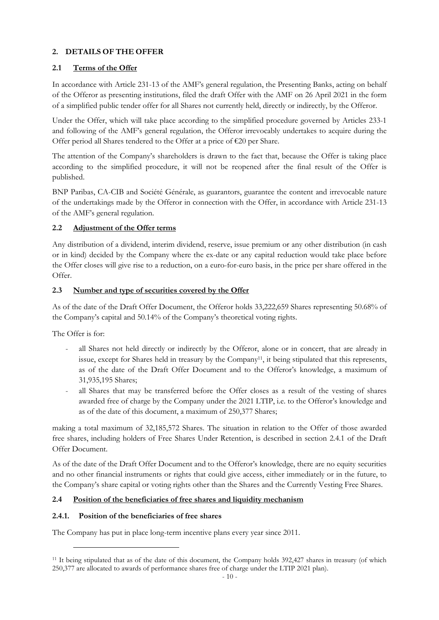# **2. DETAILS OF THE OFFER**

# **2.1 Terms of the Offer**

In accordance with Article 231-13 of the AMF's general regulation, the Presenting Banks, acting on behalf of the Offeror as presenting institutions, filed the draft Offer with the AMF on 26 April 2021 in the form of a simplified public tender offer for all Shares not currently held, directly or indirectly, by the Offeror.

Under the Offer, which will take place according to the simplified procedure governed by Articles 233-1 and following of the AMF's general regulation, the Offeror irrevocably undertakes to acquire during the Offer period all Shares tendered to the Offer at a price of  $\epsilon$ 20 per Share.

The attention of the Company's shareholders is drawn to the fact that, because the Offer is taking place according to the simplified procedure, it will not be reopened after the final result of the Offer is published.

BNP Paribas, CA-CIB and Société Générale, as guarantors, guarantee the content and irrevocable nature of the undertakings made by the Offeror in connection with the Offer, in accordance with Article 231-13 of the AMF's general regulation.

# **2.2 Adjustment of the Offer terms**

Any distribution of a dividend, interim dividend, reserve, issue premium or any other distribution (in cash or in kind) decided by the Company where the ex-date or any capital reduction would take place before the Offer closes will give rise to a reduction, on a euro-for-euro basis, in the price per share offered in the Offer.

# **2.3 Number and type of securities covered by the Offer**

As of the date of the Draft Offer Document, the Offeror holds 33,222,659 Shares representing 50.68% of the Company's capital and 50.14% of the Company's theoretical voting rights.

The Offer is for:

- all Shares not held directly or indirectly by the Offeror, alone or in concert, that are already in issue, except for Shares held in treasury by the Company11, it being stipulated that this represents, as of the date of the Draft Offer Document and to the Offeror's knowledge, a maximum of 31,935,195 Shares;
- all Shares that may be transferred before the Offer closes as a result of the vesting of shares awarded free of charge by the Company under the 2021 LTIP, i.e. to the Offeror's knowledge and as of the date of this document, a maximum of 250,377 Shares;

making a total maximum of 32,185,572 Shares. The situation in relation to the Offer of those awarded free shares, including holders of Free Shares Under Retention, is described in section 2.4.1 of the Draft Offer Document.

As of the date of the Draft Offer Document and to the Offeror's knowledge, there are no equity securities and no other financial instruments or rights that could give access, either immediately or in the future, to the Company's share capital or voting rights other than the Shares and the Currently Vesting Free Shares.

# **2.4 Position of the beneficiaries of free shares and liquidity mechanism**

# **2.4.1. Position of the beneficiaries of free shares**

The Company has put in place long-term incentive plans every year since 2011.

<sup>&</sup>lt;sup>11</sup> It being stipulated that as of the date of this document, the Company holds 392,427 shares in treasury (of which 250,377 are allocated to awards of performance shares free of charge under the LTIP 2021 plan).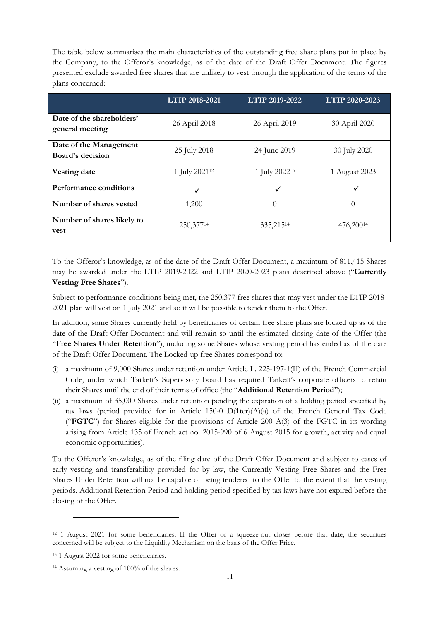The table below summarises the main characteristics of the outstanding free share plans put in place by the Company, to the Offeror's knowledge, as of the date of the Draft Offer Document. The figures presented exclude awarded free shares that are unlikely to vest through the application of the terms of the plans concerned:

|                                              | LTIP 2018-2021            | LTIP 2019-2022            | LTIP 2020-2023 |
|----------------------------------------------|---------------------------|---------------------------|----------------|
| Date of the shareholders'<br>general meeting | 26 April 2018             | 26 April 2019             | 30 April 2020  |
| Date of the Management<br>Board's decision   | 25 July 2018              | 24 June 2019              | 30 July 2020   |
| Vesting date                                 | 1 July 2021 <sup>12</sup> | 1 July 2022 <sup>13</sup> | 1 August 2023  |
| Performance conditions                       | $\checkmark$              | ✓                         | ✓              |
| Number of shares vested                      | 1,200                     | $\theta$                  | $\theta$       |
| Number of shares likely to<br>vest           | 250,37714                 | 335,21514                 | 476,20014      |

To the Offeror's knowledge, as of the date of the Draft Offer Document, a maximum of 811,415 Shares may be awarded under the LTIP 2019-2022 and LTIP 2020-2023 plans described above ("**Currently Vesting Free Shares**").

Subject to performance conditions being met, the 250,377 free shares that may vest under the LTIP 2018- 2021 plan will vest on 1 July 2021 and so it will be possible to tender them to the Offer.

In addition, some Shares currently held by beneficiaries of certain free share plans are locked up as of the date of the Draft Offer Document and will remain so until the estimated closing date of the Offer (the "**Free Shares Under Retention**"), including some Shares whose vesting period has ended as of the date of the Draft Offer Document. The Locked-up free Shares correspond to:

- (i) a maximum of 9,000 Shares under retention under Article L. 225-197-1(II) of the French Commercial Code, under which Tarkett's Supervisory Board has required Tarkett's corporate officers to retain their Shares until the end of their terms of office (the "**Additional Retention Period**");
- (ii) a maximum of 35,000 Shares under retention pending the expiration of a holding period specified by tax laws (period provided for in Article 150-0  $D(1ter)(A)(a)$  of the French General Tax Code ("**FGTC**") for Shares eligible for the provisions of Article 200 A(3) of the FGTC in its wording arising from Article 135 of French act no. 2015-990 of 6 August 2015 for growth, activity and equal economic opportunities).

To the Offeror's knowledge, as of the filing date of the Draft Offer Document and subject to cases of early vesting and transferability provided for by law, the Currently Vesting Free Shares and the Free Shares Under Retention will not be capable of being tendered to the Offer to the extent that the vesting periods, Additional Retention Period and holding period specified by tax laws have not expired before the closing of the Offer.

<sup>&</sup>lt;sup>12</sup> 1 August 2021 for some beneficiaries. If the Offer or a squeeze-out closes before that date, the securities concerned will be subject to the Liquidity Mechanism on the basis of the Offer Price.

<sup>13</sup> 1 August 2022 for some beneficiaries.

<sup>14</sup> Assuming a vesting of 100% of the shares.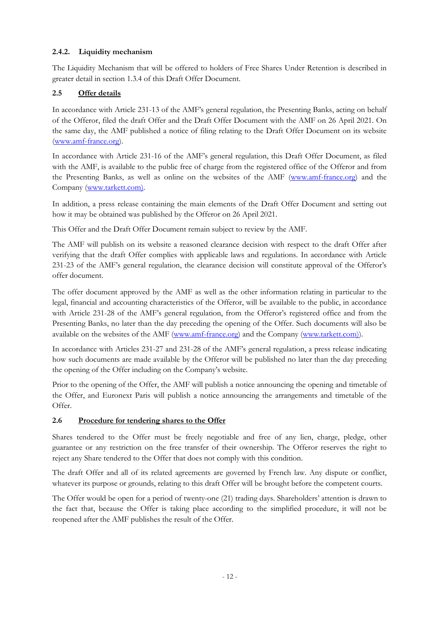# **2.4.2. Liquidity mechanism**

The Liquidity Mechanism that will be offered to holders of Free Shares Under Retention is described in greater detail in section 1.3.4 of this Draft Offer Document.

# **2.5 Offer details**

In accordance with Article 231-13 of the AMF's general regulation, the Presenting Banks, acting on behalf of the Offeror, filed the draft Offer and the Draft Offer Document with the AMF on 26 April 2021. On the same day, the AMF published a notice of filing relating to the Draft Offer Document on its website (www.amf-france.org).

In accordance with Article 231-16 of the AMF's general regulation, this Draft Offer Document, as filed with the AMF, is available to the public free of charge from the registered office of the Offeror and from the Presenting Banks, as well as online on the websites of the AMF (www.amf-france.org) and the Company (www.tarkett.com).

In addition, a press release containing the main elements of the Draft Offer Document and setting out how it may be obtained was published by the Offeror on 26 April 2021.

This Offer and the Draft Offer Document remain subject to review by the AMF.

The AMF will publish on its website a reasoned clearance decision with respect to the draft Offer after verifying that the draft Offer complies with applicable laws and regulations. In accordance with Article 231-23 of the AMF's general regulation, the clearance decision will constitute approval of the Offeror's offer document.

The offer document approved by the AMF as well as the other information relating in particular to the legal, financial and accounting characteristics of the Offeror, will be available to the public, in accordance with Article 231-28 of the AMF's general regulation, from the Offeror's registered office and from the Presenting Banks, no later than the day preceding the opening of the Offer. Such documents will also be available on the websites of the AMF (www.amf-france.org) and the Company (www.tarkett.com)).

In accordance with Articles 231-27 and 231-28 of the AMF's general regulation, a press release indicating how such documents are made available by the Offeror will be published no later than the day preceding the opening of the Offer including on the Company's website.

Prior to the opening of the Offer, the AMF will publish a notice announcing the opening and timetable of the Offer, and Euronext Paris will publish a notice announcing the arrangements and timetable of the Offer.

# **2.6 Procedure for tendering shares to the Offer**

Shares tendered to the Offer must be freely negotiable and free of any lien, charge, pledge, other guarantee or any restriction on the free transfer of their ownership. The Offeror reserves the right to reject any Share tendered to the Offer that does not comply with this condition.

The draft Offer and all of its related agreements are governed by French law. Any dispute or conflict, whatever its purpose or grounds, relating to this draft Offer will be brought before the competent courts.

The Offer would be open for a period of twenty-one (21) trading days. Shareholders' attention is drawn to the fact that, because the Offer is taking place according to the simplified procedure, it will not be reopened after the AMF publishes the result of the Offer.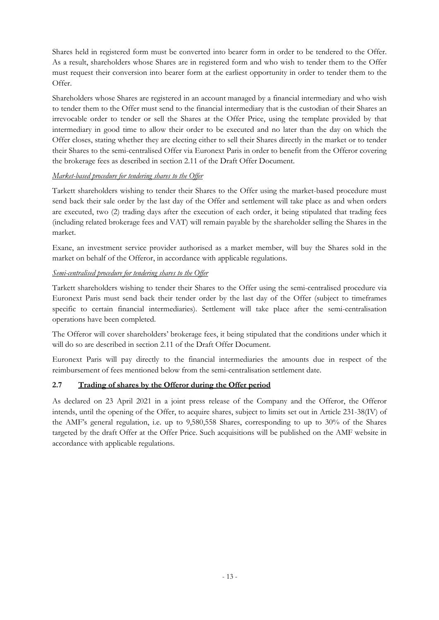Shares held in registered form must be converted into bearer form in order to be tendered to the Offer. As a result, shareholders whose Shares are in registered form and who wish to tender them to the Offer must request their conversion into bearer form at the earliest opportunity in order to tender them to the Offer.

Shareholders whose Shares are registered in an account managed by a financial intermediary and who wish to tender them to the Offer must send to the financial intermediary that is the custodian of their Shares an irrevocable order to tender or sell the Shares at the Offer Price, using the template provided by that intermediary in good time to allow their order to be executed and no later than the day on which the Offer closes, stating whether they are electing either to sell their Shares directly in the market or to tender their Shares to the semi-centralised Offer via Euronext Paris in order to benefit from the Offeror covering the brokerage fees as described in section 2.11 of the Draft Offer Document.

# *Market-based procedure for tendering shares to the Offer*

Tarkett shareholders wishing to tender their Shares to the Offer using the market-based procedure must send back their sale order by the last day of the Offer and settlement will take place as and when orders are executed, two (2) trading days after the execution of each order, it being stipulated that trading fees (including related brokerage fees and VAT) will remain payable by the shareholder selling the Shares in the market.

Exane, an investment service provider authorised as a market member, will buy the Shares sold in the market on behalf of the Offeror, in accordance with applicable regulations.

# *Semi-centralised procedure for tendering shares to the Offer*

Tarkett shareholders wishing to tender their Shares to the Offer using the semi-centralised procedure via Euronext Paris must send back their tender order by the last day of the Offer (subject to timeframes specific to certain financial intermediaries). Settlement will take place after the semi-centralisation operations have been completed.

The Offeror will cover shareholders' brokerage fees, it being stipulated that the conditions under which it will do so are described in section 2.11 of the Draft Offer Document.

Euronext Paris will pay directly to the financial intermediaries the amounts due in respect of the reimbursement of fees mentioned below from the semi-centralisation settlement date.

# **2.7 Trading of shares by the Offeror during the Offer period**

As declared on 23 April 2021 in a joint press release of the Company and the Offeror, the Offeror intends, until the opening of the Offer, to acquire shares, subject to limits set out in Article 231-38(IV) of the AMF's general regulation, i.e. up to 9,580,558 Shares, corresponding to up to 30% of the Shares targeted by the draft Offer at the Offer Price. Such acquisitions will be published on the AMF website in accordance with applicable regulations.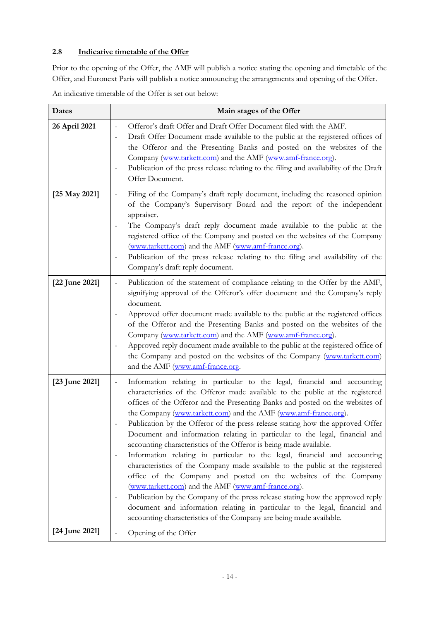# **2.8 Indicative timetable of the Offer**

Prior to the opening of the Offer, the AMF will publish a notice stating the opening and timetable of the Offer, and Euronext Paris will publish a notice announcing the arrangements and opening of the Offer.

| Dates          | Main stages of the Offer                                                                                                                                                                                                                                                                                                                                                                                                                                                                                                                                                                                                                                                                                                                                                                                                                                                                                                                                                                                                                                                                   |
|----------------|--------------------------------------------------------------------------------------------------------------------------------------------------------------------------------------------------------------------------------------------------------------------------------------------------------------------------------------------------------------------------------------------------------------------------------------------------------------------------------------------------------------------------------------------------------------------------------------------------------------------------------------------------------------------------------------------------------------------------------------------------------------------------------------------------------------------------------------------------------------------------------------------------------------------------------------------------------------------------------------------------------------------------------------------------------------------------------------------|
| 26 April 2021  | Offeror's draft Offer and Draft Offer Document filed with the AMF.<br>$\overline{\phantom{m}}$<br>Draft Offer Document made available to the public at the registered offices of<br>the Offeror and the Presenting Banks and posted on the websites of the<br>Company (www.tarkett.com) and the AMF (www.amf-france.org).<br>Publication of the press release relating to the filing and availability of the Draft<br>Offer Document.                                                                                                                                                                                                                                                                                                                                                                                                                                                                                                                                                                                                                                                      |
| [25 May 2021]  | Filing of the Company's draft reply document, including the reasoned opinion<br>of the Company's Supervisory Board and the report of the independent<br>appraiser.<br>The Company's draft reply document made available to the public at the<br>registered office of the Company and posted on the websites of the Company<br>(www.tarkett.com) and the AMF (www.amf-france.org).<br>Publication of the press release relating to the filing and availability of the<br>Company's draft reply document.                                                                                                                                                                                                                                                                                                                                                                                                                                                                                                                                                                                    |
| [22 June 2021] | Publication of the statement of compliance relating to the Offer by the AMF,<br>$\overline{\phantom{0}}$<br>signifying approval of the Offeror's offer document and the Company's reply<br>document.<br>Approved offer document made available to the public at the registered offices<br>of the Offeror and the Presenting Banks and posted on the websites of the<br>Company (www.tarkett.com) and the AMF (www.amf-france.org).<br>Approved reply document made available to the public at the registered office of<br>the Company and posted on the websites of the Company (www.tarkett.com)<br>and the AMF (www.amf-france.org.                                                                                                                                                                                                                                                                                                                                                                                                                                                      |
| [23 June 2021] | Information relating in particular to the legal, financial and accounting<br>-<br>characteristics of the Offeror made available to the public at the registered<br>offices of the Offeror and the Presenting Banks and posted on the websites of<br>the Company (www.tarkett.com) and the AMF (www.amf-france.org).<br>Publication by the Offeror of the press release stating how the approved Offer<br>Document and information relating in particular to the legal, financial and<br>accounting characteristics of the Offeror is being made available.<br>Information relating in particular to the legal, financial and accounting<br>characteristics of the Company made available to the public at the registered<br>office of the Company and posted on the websites of the Company<br>(www.tarkett.com) and the AMF (www.amf-france.org).<br>Publication by the Company of the press release stating how the approved reply<br>document and information relating in particular to the legal, financial and<br>accounting characteristics of the Company are being made available. |
| [24 June 2021] | Opening of the Offer<br>$\overline{\phantom{0}}$                                                                                                                                                                                                                                                                                                                                                                                                                                                                                                                                                                                                                                                                                                                                                                                                                                                                                                                                                                                                                                           |

An indicative timetable of the Offer is set out below: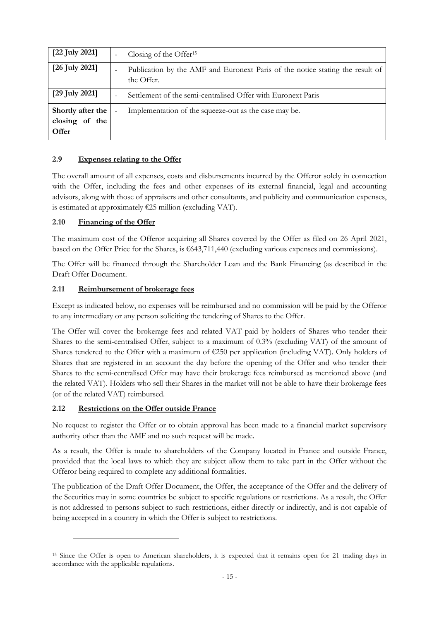| [22 July 2021]                               | Closing of the Offer <sup>15</sup>                                                          |
|----------------------------------------------|---------------------------------------------------------------------------------------------|
| $[26$ July 2021]                             | Publication by the AMF and Euronext Paris of the notice stating the result of<br>the Offer. |
| [29 July 2021]                               | Settlement of the semi-centralised Offer with Euronext Paris                                |
| Shortly after the<br>closing of the<br>Offer | Implementation of the squeeze-out as the case may be.                                       |

## **2.9 Expenses relating to the Offer**

The overall amount of all expenses, costs and disbursements incurred by the Offeror solely in connection with the Offer, including the fees and other expenses of its external financial, legal and accounting advisors, along with those of appraisers and other consultants, and publicity and communication expenses, is estimated at approximately  $E25$  million (excluding VAT).

## **2.10 Financing of the Offer**

The maximum cost of the Offeror acquiring all Shares covered by the Offer as filed on 26 April 2021, based on the Offer Price for the Shares, is €643,711,440 (excluding various expenses and commissions).

The Offer will be financed through the Shareholder Loan and the Bank Financing (as described in the Draft Offer Document.

## **2.11 Reimbursement of brokerage fees**

Except as indicated below, no expenses will be reimbursed and no commission will be paid by the Offeror to any intermediary or any person soliciting the tendering of Shares to the Offer.

The Offer will cover the brokerage fees and related VAT paid by holders of Shares who tender their Shares to the semi-centralised Offer, subject to a maximum of 0.3% (excluding VAT) of the amount of Shares tendered to the Offer with a maximum of €250 per application (including VAT). Only holders of Shares that are registered in an account the day before the opening of the Offer and who tender their Shares to the semi-centralised Offer may have their brokerage fees reimbursed as mentioned above (and the related VAT). Holders who sell their Shares in the market will not be able to have their brokerage fees (or of the related VAT) reimbursed.

#### **2.12 Restrictions on the Offer outside France**

No request to register the Offer or to obtain approval has been made to a financial market supervisory authority other than the AMF and no such request will be made.

As a result, the Offer is made to shareholders of the Company located in France and outside France, provided that the local laws to which they are subject allow them to take part in the Offer without the Offeror being required to complete any additional formalities.

The publication of the Draft Offer Document, the Offer, the acceptance of the Offer and the delivery of the Securities may in some countries be subject to specific regulations or restrictions. As a result, the Offer is not addressed to persons subject to such restrictions, either directly or indirectly, and is not capable of being accepted in a country in which the Offer is subject to restrictions.

<sup>15</sup> Since the Offer is open to American shareholders, it is expected that it remains open for 21 trading days in accordance with the applicable regulations.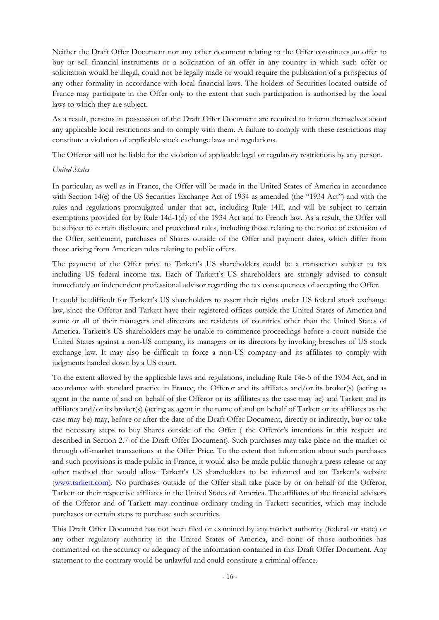Neither the Draft Offer Document nor any other document relating to the Offer constitutes an offer to buy or sell financial instruments or a solicitation of an offer in any country in which such offer or solicitation would be illegal, could not be legally made or would require the publication of a prospectus of any other formality in accordance with local financial laws. The holders of Securities located outside of France may participate in the Offer only to the extent that such participation is authorised by the local laws to which they are subject.

As a result, persons in possession of the Draft Offer Document are required to inform themselves about any applicable local restrictions and to comply with them. A failure to comply with these restrictions may constitute a violation of applicable stock exchange laws and regulations.

The Offeror will not be liable for the violation of applicable legal or regulatory restrictions by any person.

#### *United States*

In particular, as well as in France, the Offer will be made in the United States of America in accordance with Section 14(e) of the US Securities Exchange Act of 1934 as amended (the "1934 Act") and with the rules and regulations promulgated under that act, including Rule 14E, and will be subject to certain exemptions provided for by Rule 14d-1(d) of the 1934 Act and to French law. As a result, the Offer will be subject to certain disclosure and procedural rules, including those relating to the notice of extension of the Offer, settlement, purchases of Shares outside of the Offer and payment dates, which differ from those arising from American rules relating to public offers.

The payment of the Offer price to Tarkett's US shareholders could be a transaction subject to tax including US federal income tax. Each of Tarkett's US shareholders are strongly advised to consult immediately an independent professional advisor regarding the tax consequences of accepting the Offer.

It could be difficult for Tarkett's US shareholders to assert their rights under US federal stock exchange law, since the Offeror and Tarkett have their registered offices outside the United States of America and some or all of their managers and directors are residents of countries other than the United States of America. Tarkett's US shareholders may be unable to commence proceedings before a court outside the United States against a non-US company, its managers or its directors by invoking breaches of US stock exchange law. It may also be difficult to force a non-US company and its affiliates to comply with judgments handed down by a US court.

To the extent allowed by the applicable laws and regulations, including Rule 14e-5 of the 1934 Act, and in accordance with standard practice in France, the Offeror and its affiliates and/or its broker(s) (acting as agent in the name of and on behalf of the Offeror or its affiliates as the case may be) and Tarkett and its affiliates and/or its broker(s) (acting as agent in the name of and on behalf of Tarkett or its affiliates as the case may be) may, before or after the date of the Draft Offer Document, directly or indirectly, buy or take the necessary steps to buy Shares outside of the Offer ( the Offeror's intentions in this respect are described in Section 2.7 of the Draft Offer Document). Such purchases may take place on the market or through off-market transactions at the Offer Price. To the extent that information about such purchases and such provisions is made public in France, it would also be made public through a press release or any other method that would allow Tarkett's US shareholders to be informed and on Tarkett's website (www.tarkett.com). No purchases outside of the Offer shall take place by or on behalf of the Offeror, Tarkett or their respective affiliates in the United States of America. The affiliates of the financial advisors of the Offeror and of Tarkett may continue ordinary trading in Tarkett securities, which may include purchases or certain steps to purchase such securities.

This Draft Offer Document has not been filed or examined by any market authority (federal or state) or any other regulatory authority in the United States of America, and none of those authorities has commented on the accuracy or adequacy of the information contained in this Draft Offer Document. Any statement to the contrary would be unlawful and could constitute a criminal offence.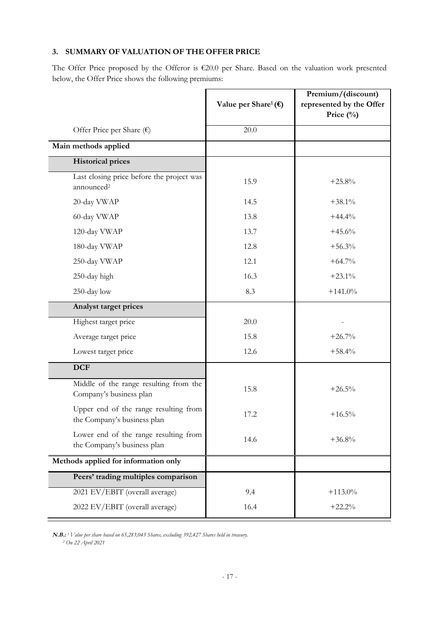# **3. SUMMARY OF VALUATION OF THE OFFER PRICE**

The Offer Price proposed by the Offeror is €20.0 per Share. Based on the valuation work presented below, the Offer Price shows the following premiums:

|                                                                      | Value per Share <sup>1</sup> ( $\epsilon$ ) | Premium/(discount)<br>represented by the Offer<br>Price (%) |
|----------------------------------------------------------------------|---------------------------------------------|-------------------------------------------------------------|
| Offer Price per Share $(\epsilon)$                                   | 20.0                                        |                                                             |
| Main methods applied                                                 |                                             |                                                             |
| <b>Historical prices</b>                                             |                                             |                                                             |
| Last closing price before the project was<br>announced <sup>2</sup>  | 15.9                                        | $+25.8%$                                                    |
| 20-day VWAP                                                          | 14.5                                        | $+38.1%$                                                    |
| 60-day VWAP                                                          | 13.8                                        | $+44.4%$                                                    |
| 120-day VWAP                                                         | 13.7                                        | $+45.6%$                                                    |
| 180-day VWAP                                                         | 12.8                                        | $+56.3%$                                                    |
| 250-day VWAP                                                         | 12.1                                        | $+64.7\%$                                                   |
| 250-day high                                                         | 16.3                                        | $+23.1\%$                                                   |
| 250-day low                                                          | 8.3                                         | $+141.0%$                                                   |
| Analyst target prices                                                |                                             |                                                             |
| Highest target price                                                 | 20.0                                        |                                                             |
| Average target price                                                 | 15.8                                        | $+26.7%$                                                    |
| Lowest target price                                                  | 12.6                                        | $+58.4%$                                                    |
| <b>DCF</b>                                                           |                                             |                                                             |
| Middle of the range resulting from the<br>Company's business plan    | 15.8                                        | $+26.5%$                                                    |
| Upper end of the range resulting from<br>the Company's business plan | 17.2                                        | $+16.5%$                                                    |
| Lower end of the range resulting from<br>the Company's business plan | 14.6                                        | $+36.8%$                                                    |
| Methods applied for information only                                 |                                             |                                                             |
| Peers' trading multiples comparison                                  |                                             |                                                             |
| 2021 EV/EBIT (overall average)                                       | 9.4                                         | $+113.0%$                                                   |
| 2022 EV/EBIT (overall average)                                       | 16.4                                        | $+22.2%$                                                    |

**N.B.:** *<sup>1</sup>Value per share based on 65,283,043 Shares, excluding 392,427 Shares held in treasury. 2 On 22 April 2021*